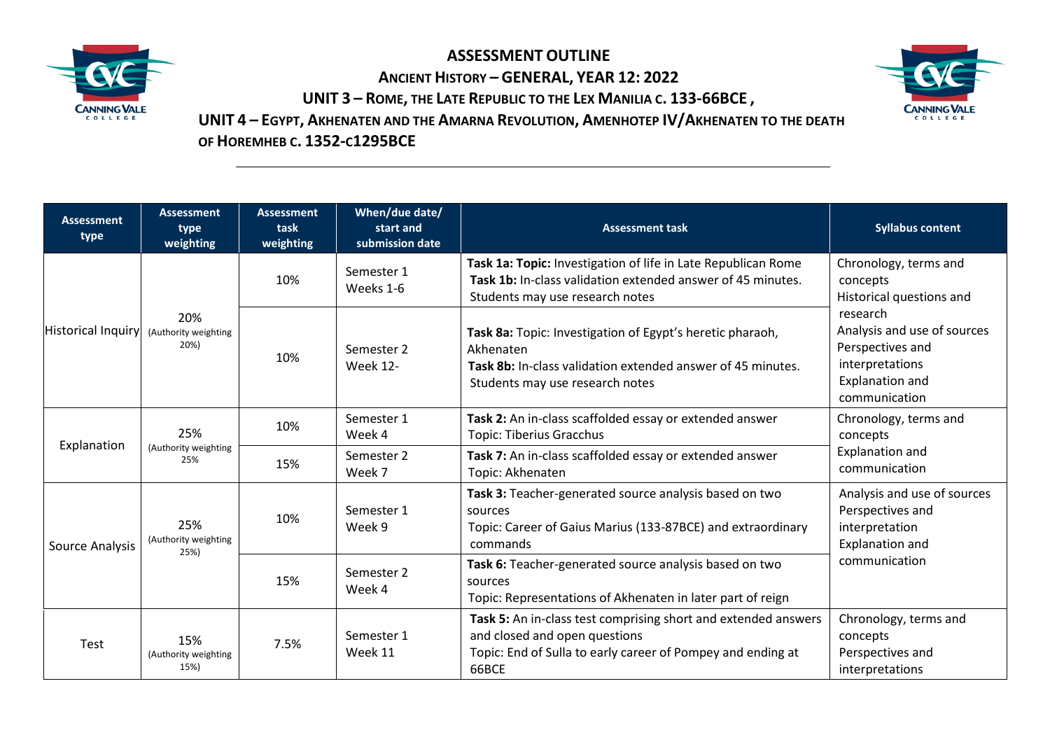

**ASSESSMENT OUTLINE ANCIENT HISTORY – GENERAL, YEAR 12: 2022 UNIT 3 – ROME, THE LATE REPUBLIC TO THE LEX MANILIA C. 133-66BCE ,** 



**UNIT 4 – EGYPT, AKHENATEN AND THE AMARNA REVOLUTION, AMENHOTEP IV/AKHENATEN TO THE DEATH OF HOREMHEB C. 1352-C1295BCE**

| <b>Assessment</b><br>type | <b>Assessment</b><br>type<br>weighting | <b>Assessment</b><br>task<br>weighting | When/due date/<br>start and<br>submission date | <b>Assessment task</b>                                                                                                                                                   | <b>Syllabus content</b>                                                                                                                                                                    |
|---------------------------|----------------------------------------|----------------------------------------|------------------------------------------------|--------------------------------------------------------------------------------------------------------------------------------------------------------------------------|--------------------------------------------------------------------------------------------------------------------------------------------------------------------------------------------|
| Historical Inquiry        | 20%<br>(Authority weighting<br>20%)    | 10%                                    | Semester 1<br>Weeks 1-6                        | Task 1a: Topic: Investigation of life in Late Republican Rome<br>Task 1b: In-class validation extended answer of 45 minutes.<br>Students may use research notes          | Chronology, terms and<br>concepts<br>Historical questions and<br>research<br>Analysis and use of sources<br>Perspectives and<br>interpretations<br><b>Explanation and</b><br>communication |
|                           |                                        | 10%                                    | Semester 2<br><b>Week 12-</b>                  | Task 8a: Topic: Investigation of Egypt's heretic pharaoh,<br>Akhenaten<br>Task 8b: In-class validation extended answer of 45 minutes.<br>Students may use research notes |                                                                                                                                                                                            |
| Explanation               | 25%<br>(Authority weighting<br>25%     | 10%                                    | Semester 1<br>Week 4                           | Task 2: An in-class scaffolded essay or extended answer<br><b>Topic: Tiberius Gracchus</b>                                                                               | Chronology, terms and<br>concepts<br><b>Explanation and</b><br>communication                                                                                                               |
|                           |                                        | 15%                                    | Semester 2<br>Week 7                           | Task 7: An in-class scaffolded essay or extended answer<br>Topic: Akhenaten                                                                                              |                                                                                                                                                                                            |
| Source Analysis           | 25%<br>(Authority weighting<br>25%)    | 10%                                    | Semester 1<br>Week 9                           | Task 3: Teacher-generated source analysis based on two<br>sources<br>Topic: Career of Gaius Marius (133-87BCE) and extraordinary<br>commands                             | Analysis and use of sources<br>Perspectives and<br>interpretation<br><b>Explanation and</b>                                                                                                |
|                           |                                        | 15%                                    | Semester 2<br>Week 4                           | Task 6: Teacher-generated source analysis based on two<br>sources<br>Topic: Representations of Akhenaten in later part of reign                                          | communication                                                                                                                                                                              |
| Test                      | 15%<br>(Authority weighting<br>15%)    | 7.5%                                   | Semester 1<br>Week 11                          | Task 5: An in-class test comprising short and extended answers<br>and closed and open questions<br>Topic: End of Sulla to early career of Pompey and ending at<br>66BCE  | Chronology, terms and<br>concepts<br>Perspectives and<br>interpretations                                                                                                                   |